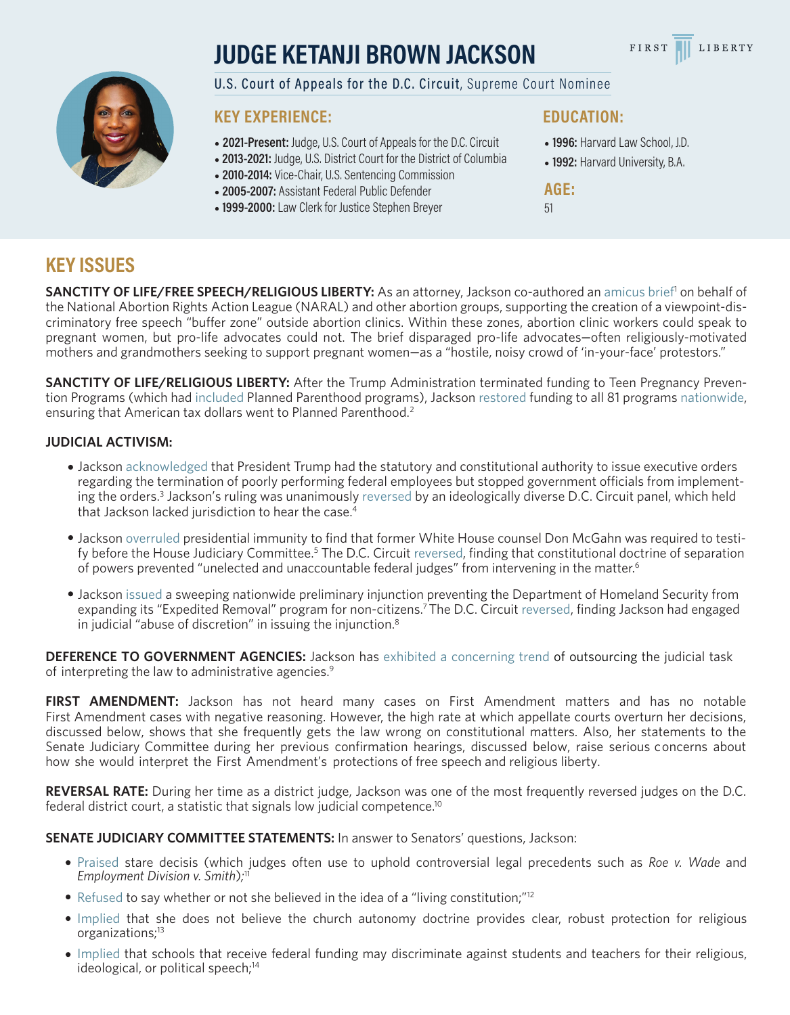# **JUDGE KETANJI BROWN JACKSON**





U.S. Court of Appeals for the D.C. Circuit, Supreme Court Nominee

### **KEY EXPERIENCE:**

- **2021-Present:** Judge, U.S. Court of Appeals for the D.C. Circuit
- **2013-2021:** Judge, U.S. District Court for the District of Columbia
- **2010-2014:** Vice-Chair, U.S. Sentencing Commission
- **2005-2007:** Assistant Federal Public Defender
- •**1999-2000:** Law Clerk for Justice Stephen Breyer

#### **EDUCATION:**

- **1996:** Harvard Law School, J.D.
- **1992:** Harvard University, B.A.

**AGE:**

51

## **KEY ISSUES**

SANCTITY OF LIFE/FREE SPEECH/RELIGIOUS LIBERTY: As an attorney, Jackson co-authored an amicus brief<sup>1</sup> on behalf of the National Abortion Rights Action League (NARAL) and other abortion groups, supporting the creation of a viewpoint-discriminatory free speech "buffer zone" outside abortion clinics. Within these zones, abortion clinic workers could speak to pregnant women, but pro-life advocates could not. The brief disparaged pro-life advocates**–**often religiously-motivated mothers and grandmothers seeking to support pregnant women**–**as a "hostile, noisy crowd of 'in-your-face' protestors."

**SANCTITY OF LIFE/RELIGIOUS LIBERTY:** After the Trump Administration terminated funding to Teen Pregnancy Prevention Programs (which had [included](https://revealnews.org/article/trump-administration-suddenly-pulls-plug-on-teen-pregnancy-programs/) Planned Parenthood programs), Jackson [restored](https://www.leagle.com/decision/infdco20180514809) funding to all 81 program[s nationwide,](https://casetext.com/case/healthy-futures-texas-v-dept-of-health-human-servs) ensuring that American tax dollars went to Planned Parenthood.<sup>2</sup>

#### **JUDICIAL ACTIVISM:**

- Jackson [acknowledged](https://casetext.com/case/am-fedn-of-govt-emps-v-trump) that President Trump had the statutory and constitutional authority to issue executive orders regarding the termination of poorly performing federal employees but stopped government officials from implementing the orders.<sup>3</sup> Jackson's ruling was unanimously [reversed](https://casetext.com/case/am-fedn-of-govt-emps-v-trump-1) by an ideologically diverse D.C. Circuit panel, which held that Jackson lacked jurisdiction to hear the case.<sup>4</sup>
- Jackson [overruled](https://casetext.com/case/comm-on-judiciary-v-mcgahn) presidential immunity to find that former White House counsel Don McGahn was required to testify before the House Judiciary Committee.<sup>5</sup> The D.C. Circuit [reversed,](https://casetext.com/case/comm-on-judiciary-of-us-house-of-representatives-v-mcgahn) finding that constitutional doctrine of separation of powers prevented "unelected and unaccountable federal judges" from intervening in the matter.<sup>6</sup>
- Jackson [issued](https://casetext.com/case/make-rd-ny-v-mcaleenan) a sweeping nationwide preliminary injunction preventing the Department of Homeland Security from expanding its "Expedited Removal" program for non-citizens.<sup>7</sup>The D.C. Circuit [reversed,](https://casetext.com/case/make-rd-ny-v-wolf) finding Jackson had engaged in judicial "abuse of discretion" in issuing the injunction.<sup>8</sup>

**DEFERENCE TO GOVERNMENT AGENCIES:** Jackson has [exhibited](https://casetext.com/case/am-fedn-of-labor-cong-of-indus-organizations-v-natl-labor-relations-bd-1) [a](https://casetext.com/case/otsuka-pharm-co-v-burwell-4) [concerning](https://casetext.com/case/cognitive-profl-servs-inc-v-us-small-bus-admin-1) [trend](https://casetext.com/case/institution-v-us-dept-of-agric-1) of outsourcing the judicial task of interpreting the law to administrative agencies.<sup>9</sup>

FIRST AMENDMENT: Jackson has not heard many cases on First Amendment matters and has no notable First Amendment cases with negative reasoning. However, the high rate at which appellate courts overturn her decisions, discussed below, shows that she frequently gets the law wrong on constitutional matters. Also, her statements to the Senate Judiciary Committee during her previous confirmation hearings, discussed below, raise serious concerns about how she would interpret the First Amendment's protections of free speech and religious liberty.

**REVERSAL RATE:** During her time as a district judge, Jackson was one of the most frequently reversed judges on the D.C. federal district court, a statistic that signals low judicial competence.<sup>10</sup>

**SENATE JUDICIARY COMMITTEE STATEMENTS:** In answer to Senators' questions, Jackson:

- [Praised](https://www.congress.gov/112/chrg/CHRG-112shrg93596/CHRG-112shrg93596.pdf) stare decisis (which judges often use to uphold controversial legal precedents such as *Roe v. Wade* and *Employment Division v. Smith*)*;* 11
- [Refused](https://www.judiciary.senate.gov/meetings/04/21/2021/nominations) to say whether or not she believed in the idea of a "living constitution;"<sup>12</sup>
- [Implied](https://www.judiciary.senate.gov/imo/media/doc/Brown%20Jackson%20Responses1.pdf) that she does not believe the church autonomy doctrine provides clear, robust protection for religious organizations;<sup>13</sup>
- [Implied](https://www.judiciary.senate.gov/imo/media/doc/Brown%20Jackson%20Responses1.pdf) that schools that receive federal funding may discriminate against students and teachers for their religious, ideological, or political speech;<sup>14</sup>